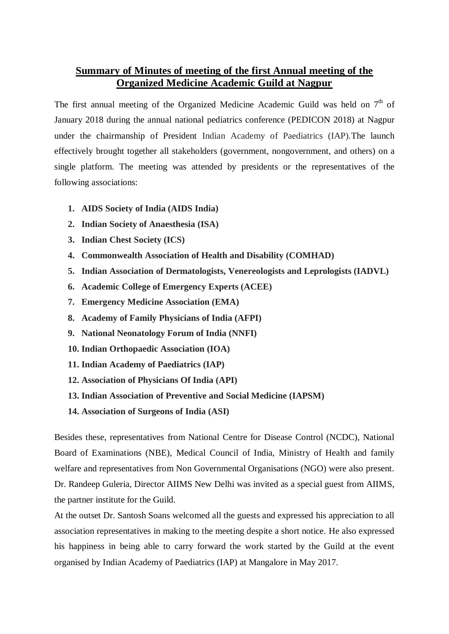## **Summary of Minutes of meeting of the first Annual meeting of the Organized Medicine Academic Guild at Nagpur**

The first annual meeting of the Organized Medicine Academic Guild was held on  $7<sup>th</sup>$  of January 2018 during the annual national pediatrics conference (PEDICON 2018) at Nagpur under the chairmanship of President Indian Academy of Paediatrics (IAP).The launch effectively brought together all stakeholders (government, nongovernment, and others) on a single platform. The meeting was attended by presidents or the representatives of the following associations:

- **1. AIDS Society of India (AIDS India)**
- **2. Indian Society of Anaesthesia (ISA)**
- **3. Indian Chest Society (ICS)**
- **4. Commonwealth Association of Health and Disability (COMHAD)**
- **5. Indian Association of Dermatologists, Venereologists and Leprologists (IADVL)**
- **6. Academic College of Emergency Experts (ACEE)**
- **7. Emergency Medicine Association (EMA)**
- **8. Academy of Family Physicians of India (AFPI)**
- **9. National Neonatology Forum of India (NNFI)**
- **10. Indian Orthopaedic Association (IOA)**
- **11. Indian Academy of Paediatrics (IAP)**
- **12. Association of Physicians Of India (API)**
- **13. Indian Association of Preventive and Social Medicine (IAPSM)**
- **14. Association of Surgeons of India (ASI)**

Besides these, representatives from National Centre for Disease Control (NCDC), National Board of Examinations (NBE), Medical Council of India, Ministry of Health and family welfare and representatives from Non Governmental Organisations (NGO) were also present. Dr. Randeep Guleria, Director AIIMS New Delhi was invited as a special guest from AIIMS, the partner institute for the Guild.

At the outset Dr. Santosh Soans welcomed all the guests and expressed his appreciation to all association representatives in making to the meeting despite a short notice. He also expressed his happiness in being able to carry forward the work started by the Guild at the event organised by Indian Academy of Paediatrics (IAP) at Mangalore in May 2017.